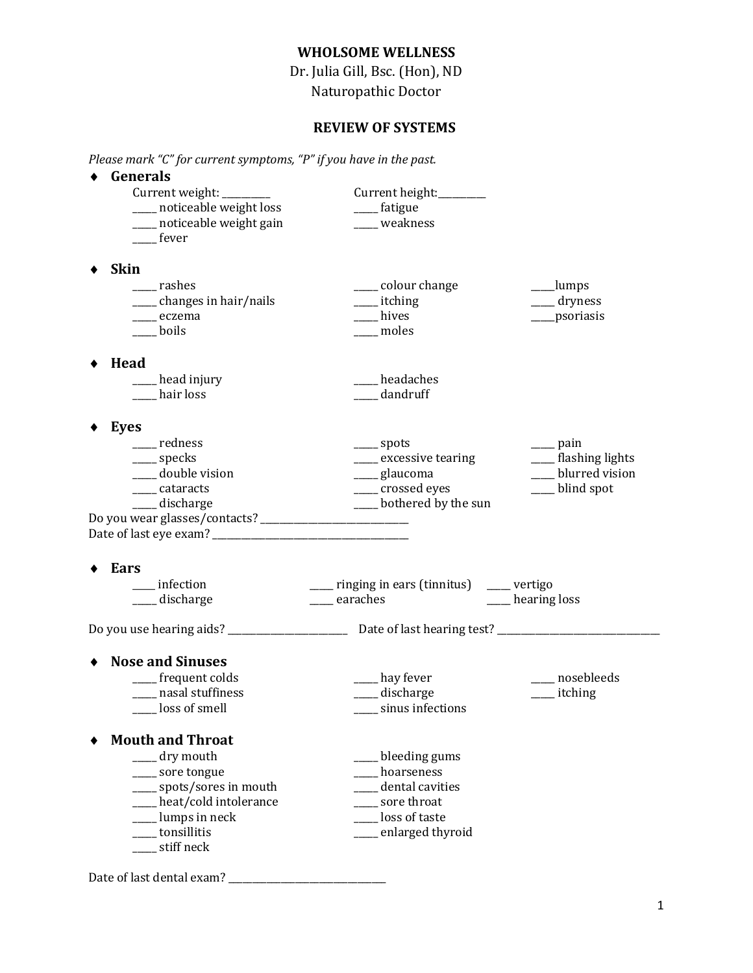## **WHOLSOME WELLNESS**

Dr. Julia Gill, Bsc. (Hon), ND Naturopathic Doctor

## **REVIEW OF SYSTEMS**

*Please mark "C" for current symptoms, "P" if you have in the past.*

| Generals                       |                                            |                              |
|--------------------------------|--------------------------------------------|------------------------------|
| Current weight: ________       | Current height:_______                     |                              |
| ___ noticeable weight loss     | ___fatigue                                 |                              |
| ___ noticeable weight gain     | ___ weakness                               |                              |
| fever                          |                                            |                              |
|                                |                                            |                              |
| <b>Skin</b><br>____ rashes     | ____ colour change                         | ___lumps                     |
| ___ changes in hair/nails      | _____ itching                              | $\rule{1em}{0.15mm}$ dryness |
| ____ eczema                    | hives                                      | ____psoriasis                |
| boils                          | moles                                      |                              |
|                                |                                            |                              |
| Head                           |                                            |                              |
| head injury_                   | headaches                                  |                              |
| hair loss                      | dandruff                                   |                              |
| Eyes                           |                                            |                              |
| redness                        | $\equiv$ spots                             | <sub>___</sub> pain          |
| ____ specks                    | ____ excessive tearing                     | ___ flashing lights          |
| ____ double vision             | ___ glaucoma                               | blurred vision               |
| _____ cataracts                | ____ crossed eyes                          | __ blind spot                |
| ___ discharge                  | ___ bothered by the sun                    |                              |
| Ears                           |                                            |                              |
| __ infection                   | ___ ringing in ears (tinnitus) ___ vertigo |                              |
| discharge                      | earaches                                   | ___ hearing loss             |
|                                |                                            |                              |
|                                |                                            |                              |
| <b>Nose and Sinuses</b>        |                                            |                              |
| ___ frequent colds             | ___ hay fever                              | nosebleeds                   |
| ___ nasal stuffiness           |                                            |                              |
| __ loss of smell               | ___ discharge<br>__ sinus infections       | _____ itching                |
| <b>Mouth and Throat</b>        |                                            |                              |
|                                |                                            |                              |
| $\rule{1em}{0.15mm}$ dry mouth | _bleeding gums                             |                              |
| ____ sore tongue               | hoarseness                                 |                              |
| ___ spots/sores in mouth       | dental cavities                            |                              |
| ___ heat/cold intolerance      | sore throat                                |                              |
| ___ lumps in neck              | loss of taste                              |                              |
| ___ tonsillitis<br>stiff neck  | ___ enlarged thyroid                       |                              |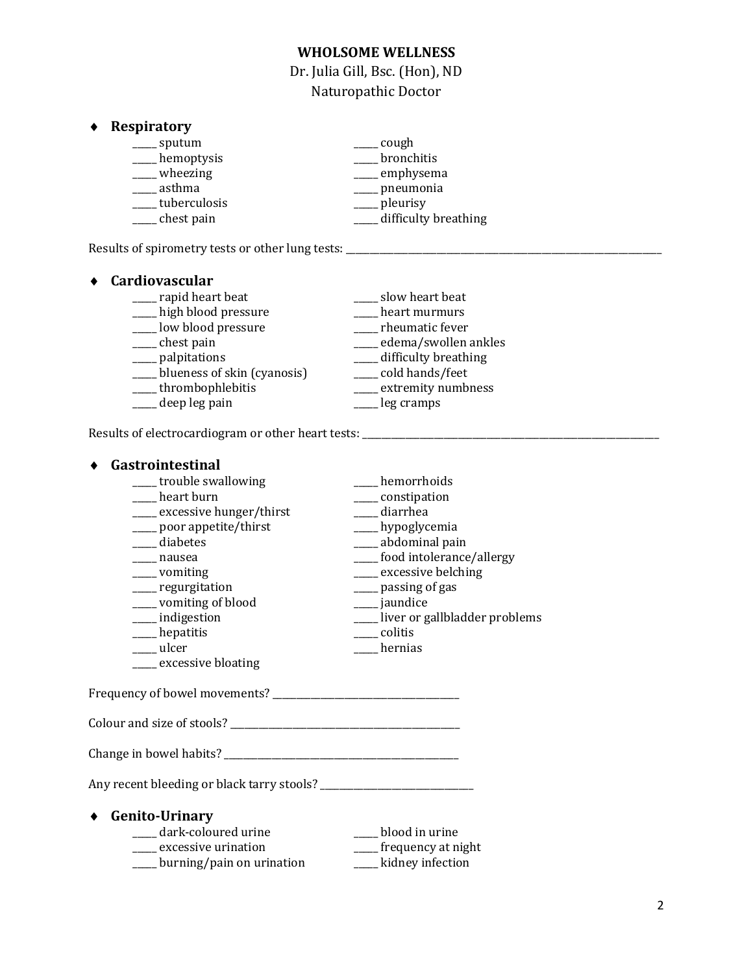## **WHOLSOME WELLNESS**

Dr. Julia Gill, Bsc. (Hon), ND Naturopathic Doctor

### **Respiratory**

| sputum       | cough                |
|--------------|----------------------|
| hemoptysis   | bronchitis           |
| wheezing     | emphysema            |
| asthma       | pneumonia            |
| tuberculosis | pleurisy             |
| chest pain   | difficulty breathing |

Results of spirometry tests or other lung tests: \_\_\_\_\_\_\_\_\_\_\_\_\_\_\_\_\_\_\_\_\_\_\_\_\_\_\_\_\_\_\_\_

| Cardiovascular              |                      |
|-----------------------------|----------------------|
| rapid heart beat            | slow heart beat      |
| high blood pressure         | heart murmurs        |
| low blood pressure          | rheumatic fever      |
| chest pain                  | edema/swollen ankles |
| palpitations                | difficulty breathing |
| blueness of skin (cyanosis) | cold hands/feet      |
| thrombophlebitis            | extremity numbness   |
| deep leg pain               | leg cramps           |

Results of electrocardiogram or other heart tests: \_\_\_\_\_\_\_\_\_\_\_\_\_\_\_\_\_\_\_\_\_\_\_\_\_\_\_\_\_\_

## **Gastrointestinal** \_\_\_\_\_ trouble swallowing \_\_\_\_\_\_\_ hemorrhoids \_\_\_\_\_\_ hemorrhoids \_\_\_\_ constipation<br>\_\_\_\_ diarrhea \_\_\_\_ excessive hunger/thirst \_\_\_\_\_ poor appetite/thirst \_\_\_\_\_\_\_\_ hypoglycemia<br> \_\_\_\_\_ diabetes \_\_\_\_\_\_\_ abdominal pair \_\_\_\_\_ diabetes \_\_\_\_\_\_\_\_ abdominal pain \_\_\_\_\_ abdominal pain \_\_\_\_\_ abdominal pain \_\_\_\_ food intolerance/allergy \_\_\_\_\_ vomiting \_\_\_\_\_ excessive belching \_\_\_\_\_ regurgitation \_\_\_\_\_ passing of gas \_\_\_\_\_ vomiting of blood \_\_\_\_\_ jaundice \_\_\_\_\_ indigestion \_\_\_\_\_ liver or gallbladder problems \_\_\_\_\_ hepatitis \_\_\_\_\_ colitis \_\_\_\_\_ ulcer \_\_\_\_\_ hernias \_\_\_\_\_ excessive bloating Frequency of bowel movements? Colour and size of stools? \_\_\_\_\_\_\_\_\_\_\_\_\_\_\_\_\_\_\_\_\_\_\_\_\_\_\_\_\_\_\_\_\_\_\_\_\_\_\_\_\_\_\_\_\_\_\_\_ Change in bowel habits? \_\_\_\_\_\_\_\_\_\_\_\_\_\_\_\_\_\_\_\_\_\_\_\_\_\_\_\_\_\_\_\_\_\_\_\_\_\_\_\_\_\_\_\_\_\_\_\_\_ Any recent bleeding or black tarry stools? \_\_\_\_\_\_\_\_\_\_\_\_\_\_\_\_\_\_\_\_\_\_\_\_\_\_\_\_\_\_\_\_ **Genito-Urinary** \_\_\_\_\_ dark-coloured urine \_\_\_\_\_ blood in urine \_\_\_\_\_ excessive urination \_\_\_\_\_ frequency at night \_\_\_\_\_ burning/pain on urination \_\_\_\_\_ kidney infection